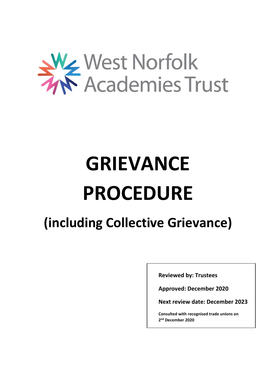

# **GRIEVANCE PROCEDURE**

## **(including Collective Grievance)**

**Reviewed by: Trustees**

**Approved: December 2020**

**Next review date: December 2023**

**Consulted with recognised trade unions on 2 nd December 2020**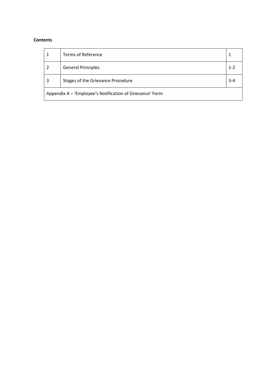#### **Contents**

|                                                          | <b>Terms of Reference</b>         |         |  |
|----------------------------------------------------------|-----------------------------------|---------|--|
|                                                          | <b>General Principles</b>         | $1 - 2$ |  |
| 3                                                        | Stages of the Grievance Procedure | $3 - 4$ |  |
| Appendix A - 'Employee's Notification of Grievance' Form |                                   |         |  |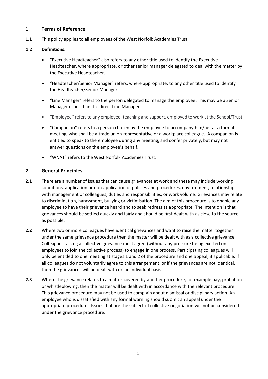#### **1. Terms of Reference**

**1.1** This policy applies to all employees of the West Norfolk Academies Trust.

#### **1.2 Definitions:**

- "Executive Headteacher" also refers to any other title used to identify the Executive Headteacher, where appropriate, or other senior manager delegated to deal with the matter by the Executive Headteacher.
- "Headteacher/Senior Manager" refers, where appropriate, to any other title used to identify the Headteacher/Senior Manager.
- "Line Manager" refers to the person delegated to manage the employee. This may be a Senior Manager other than the direct Line Manager.
- "Employee" refers to any employee, teaching and support, employed to work at the School/Trust
- "Companion" refers to a person chosen by the employee to accompany him/her at a formal meeting, who shall be a trade union representative or a workplace colleague. A companion is entitled to speak to the employee during any meeting, and confer privately, but may not answer questions on the employee's behalf.
- "WNAT" refers to the West Norfolk Academies Trust.

#### **2. General Principles**

- **2.1** There are a number of issues that can cause grievances at work and these may include working conditions, application or non-application of policies and procedures, environment, relationships with management or colleagues, duties and responsibilities, or work volume. Grievances may relate to discrimination, harassment, bullying or victimisation. The aim of this procedure is to enable any employee to have their grievance heard and to seek redress as appropriate. The intention is that grievances should be settled quickly and fairly and should be first dealt with as close to the source as possible.
- **2.2** Where two or more colleagues have identical grievances and want to raise the matter together under the same grievance procedure then the matter will be dealt with as a collective grievance. Colleagues raising a collective grievance must agree (without any pressure being exerted on employees to join the collective process) to engage in one process. Participating colleagues will only be entitled to one meeting at stages 1 and 2 of the procedure and one appeal, if applicable. If all colleagues do not voluntarily agree to this arrangement, or if the grievances are not identical, then the grievances will be dealt with on an individual basis.
- **2.3** Where the grievance relates to a matter covered by another procedure, for example pay, probation or whistleblowing, then the matter will be dealt with in accordance with the relevant procedure. This grievance procedure may not be used to complain about dismissal or disciplinary action. An employee who is dissatisfied with any formal warning should submit an appeal under the appropriate procedure. Issues that are the subject of collective negotiation will not be considered under the grievance procedure.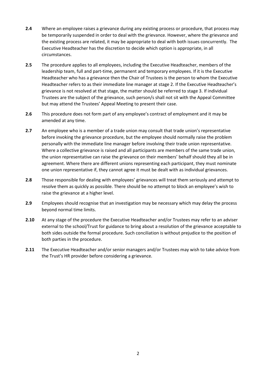- **2.4** Where an employee raises a grievance during any existing process or procedure, that process may be temporarily suspended in order to deal with the grievance. However, where the grievance and the existing process are related, it may be appropriate to deal with both issues concurrently. The Executive Headteacher has the discretion to decide which option is appropriate, in all circumstances.
- **2.5** The procedure applies to all employees, including the Executive Headteacher, members of the leadership team, full and part-time, permanent and temporary employees. If it is the Executive Headteacher who has a grievance then the Chair of Trustees is the person to whom the Executive Headteacher refers to as their immediate line manager at stage 2. If the Executive Headteacher's grievance is not resolved at that stage, the matter should be referred to stage 3. If individual Trustees are the subject of the grievance, such person/s shall not sit with the Appeal Committee but may attend the Trustees' Appeal Meeting to present their case.
- **2.6** This procedure does not form part of any employee's contract of employment and it may be amended at any time.
- **2.7** An employee who is a member of a trade union may consult that trade union's representative before invoking the grievance procedure, but the employee should normally raise the problem personally with the immediate line manager before involving their trade union representative. Where a collective grievance is raised and all participants are members of the same trade union, the union representative can raise the grievance on their members' behalf should they all be in agreement. Where there are different unions representing each participant, they must nominate one union representative if, they cannot agree it must be dealt with as individual grievances.
- **2.8** Those responsible for dealing with employees' grievances will treat them seriously and attempt to resolve them as quickly as possible. There should be no attempt to block an employee's wish to raise the grievance at a higher level.
- **2.9** Employees should recognise that an investigation may be necessary which may delay the process beyond normal time limits.
- **2.10** At any stage of the procedure the Executive Headteacher and/or Trustees may refer to an adviser external to the school/Trust for guidance to bring about a resolution of the grievance acceptable to both sides outside the formal procedure. Such conciliation is without prejudice to the position of both parties in the procedure.
- **2.11** The Executive Headteacher and/or senior managers and/or Trustees may wish to take advice from the Trust's HR provider before considering a grievance.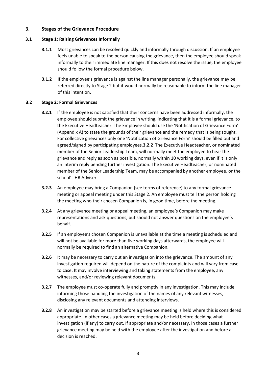#### **3. Stages of the Grievance Procedure**

#### **3.1 Stage 1: Raising Grievances Informally**

- **3.1.1** Most grievances can be resolved quickly and informally through discussion. If an employee feels unable to speak to the person causing the grievance, then the employee should speak informally to their immediate line manager. If this does not resolve the issue, the employee should follow the formal procedure below.
- **3.1.2** If the employee's grievance is against the line manager personally, the grievance may be referred directly to Stage 2 but it would normally be reasonable to inform the line manager of this intention.

#### **3.2 Stage 2: Formal Grievances**

- **3.2.1** If the employee is not satisfied that their concerns have been addressed informally, the employee should submit the grievance in writing, indicating that it is a formal grievance, to the Executive Headteacher. The Employee should use the 'Notification of Grievance Form' (Appendix A) to state the grounds of their grievance and the remedy that is being sought. For collective grievances only one 'Notification of Grievance Form' should be filled out and agreed/signed by participating employees.**3.2.2** The Executive Headteacher, or nominated member of the Senior Leadership Team, will normally meet the employee to hear the grievance and reply as soon as possible, normally within 10 working days, even if it is only an interim reply pending further investigation. The Executive Headteacher, or nominated member of the Senior Leadership Team, may be accompanied by another employee, or the school's HR Adviser.
- **3.2.3** An employee may bring a Companion (see terms of reference) to any formal grievance meeting or appeal meeting under this Stage 2. An employee must tell the person holding the meeting who their chosen Companion is, in good time, before the meeting.
- **3.2.4** At any grievance meeting or appeal meeting, an employee's Companion may make representations and ask questions, but should not answer questions on the employee's behalf.
- **3.2.5** If an employee's chosen Companion is unavailable at the time a meeting is scheduled and will not be available for more than five working days afterwards, the employee will normally be required to find an alternative Companion.
- **3.2.6** It may be necessary to carry out an investigation into the grievance. The amount of any investigation required will depend on the nature of the complaints and will vary from case to case. It may involve interviewing and taking statements from the employee, any witnesses, and/or reviewing relevant documents.
- **3.2.7** The employee must co-operate fully and promptly in any investigation. This may include informing those handling the investigation of the names of any relevant witnesses, disclosing any relevant documents and attending interviews.
- **3.2.8** An investigation may be started before a grievance meeting is held where this is considered appropriate. In other cases a grievance meeting may be held before deciding what investigation (if any) to carry out. If appropriate and/or necessary, in those cases a further grievance meeting may be held with the employee after the investigation and before a decision is reached.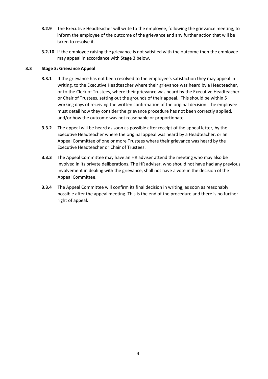- **3.2.9** The Executive Headteacher will write to the employee, following the grievance meeting, to inform the employee of the outcome of the grievance and any further action that will be taken to resolve it.
- **3.2.10** If the employee raising the grievance is not satisfied with the outcome then the employee may appeal in accordance with Stage 3 below.

#### **3.3 Stage 3: Grievance Appeal**

- **3.3.1** If the grievance has not been resolved to the employee's satisfaction they may appeal in writing, to the Executive Headteacher where their grievance was heard by a Headteacher, or to the Clerk of Trustees, where their grievance was heard by the Executive Headteacher or Chair of Trustees, setting out the grounds of their appeal. This should be within 5 working days of receiving the written confirmation of the original decision. The employee must detail how they consider the grievance procedure has not been correctly applied, and/or how the outcome was not reasonable or proportionate.
- **3.3.2** The appeal will be heard as soon as possible after receipt of the appeal letter, by the Executive Headteacher where the original appeal was heard by a Headteacher, or an Appeal Committee of one or more Trustees where their grievance was heard by the Executive Headteacher or Chair of Trustees.
- **3.3.3** The Appeal Committee may have an HR adviser attend the meeting who may also be involved in its private deliberations. The HR adviser, who should not have had any previous involvement in dealing with the grievance, shall not have a vote in the decision of the Appeal Committee.
- **3.3.4** The Appeal Committee will confirm its final decision in writing, as soon as reasonably possible after the appeal meeting. This is the end of the procedure and there is no further right of appeal.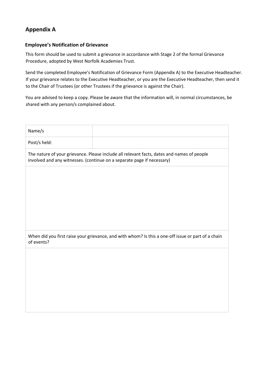### **Appendix A**

#### **Employee's Notification of Grievance**

This form should be used to submit a grievance in accordance with Stage 2 of the formal Grievance Procedure, adopted by West Norfolk Academies Trust.

Send the completed Employee's Notification of Grievance Form (Appendix A) to the Executive Headteacher. If your grievance relates to the Executive Headteacher, or you are the Executive Headteacher, then send it to the Chair of Trustees (or other Trustees if the grievance is against the Chair).

You are advised to keep a copy. Please be aware that the information will, in normal circumstances, be shared with any person/s complained about.

| Name/s       |                                                                                                                                                                      |
|--------------|----------------------------------------------------------------------------------------------------------------------------------------------------------------------|
| Post/s held: |                                                                                                                                                                      |
|              | The nature of your grievance. Please include all relevant facts, dates and names of people<br>involved and any witnesses. (continue on a separate page if necessary) |
|              |                                                                                                                                                                      |
|              |                                                                                                                                                                      |
|              |                                                                                                                                                                      |
|              |                                                                                                                                                                      |
|              |                                                                                                                                                                      |
| of events?   | When did you first raise your grievance, and with whom? Is this a one-off issue or part of a chain                                                                   |
|              |                                                                                                                                                                      |
|              |                                                                                                                                                                      |
|              |                                                                                                                                                                      |
|              |                                                                                                                                                                      |
|              |                                                                                                                                                                      |